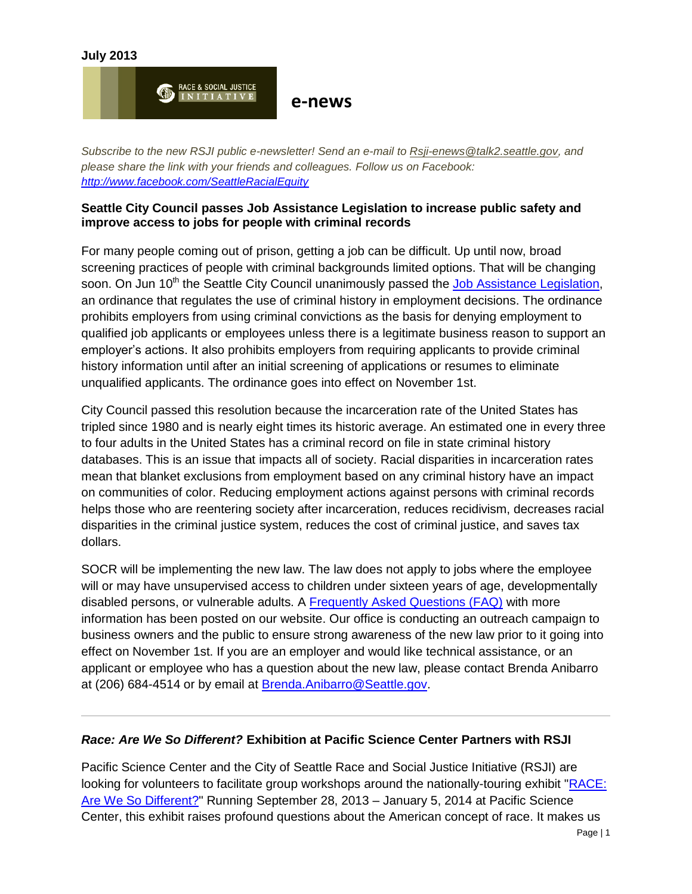



*Subscribe to the new RSJI public e-newsletter! Send an e-mail to [Rsji-enews@talk2.seattle.gov,](mailto:Rsji-enews@talk2.seattle.gov) and please share the link with your friends and colleagues. Follow us on Facebook: <http://www.facebook.com/SeattleRacialEquity>*

### **Seattle City Council passes Job Assistance Legislation to increase public safety and improve access to jobs for people with criminal records**

For many people coming out of prison, getting a job can be difficult. Up until now, broad screening practices of people with criminal backgrounds limited options. That will be changing soon. On Jun 10<sup>th</sup> the Seattle City Council unanimously passed the [Job Assistance Legislation,](http://clerk.ci.seattle.wa.us/~scripts/nph-brs.exe?s3=117796+&s4=&s5=&s1=&s2=&S6=&Sect4=AND&l=0&Sect2=THESON&Sect3=PLURON&Sect5=CBORY&Sect6=HITOFF&d=ORDF&p=1&u=%2F~public%2Fcbor1.htm&r=1&f=G) an ordinance that regulates the use of criminal history in employment decisions. The ordinance prohibits employers from using criminal convictions as the basis for denying employment to qualified job applicants or employees unless there is a legitimate business reason to support an employer's actions. It also prohibits employers from requiring applicants to provide criminal history information until after an initial screening of applications or resumes to eliminate unqualified applicants. The ordinance goes into effect on November 1st.

City Council passed this resolution because the incarceration rate of the United States has tripled since 1980 and is nearly eight times its historic average. An estimated one in every three to four adults in the United States has a criminal record on file in state criminal history databases. This is an issue that impacts all of society. Racial disparities in incarceration rates mean that blanket exclusions from employment based on any criminal history have an impact on communities of color. Reducing employment actions against persons with criminal records helps those who are reentering society after incarceration, reduces recidivism, decreases racial disparities in the criminal justice system, reduces the cost of criminal justice, and saves tax dollars.

SOCR will be implementing the new law. The law does not apply to jobs where the employee will or may have unsupervised access to children under sixteen years of age, developmentally disabled persons, or vulnerable adults. A [Frequently Asked Questions \(FAQ\)](http://www.seattle.gov/civilrights/outreach.htm#people) with more information has been posted on our website. Our office is conducting an outreach campaign to business owners and the public to ensure strong awareness of the new law prior to it going into effect on November 1st. If you are an employer and would like technical assistance, or an applicant or employee who has a question about the new law, please contact Brenda Anibarro at (206) 684-4514 or by email at [Brenda.Anibarro@Seattle.gov.](mailto:Brenda.Anibarro@Seattle.gov)

### *Race: Are We So Different?* **Exhibition at Pacific Science Center Partners with RSJI**

Pacific Science Center and the City of Seattle Race and Social Justice Initiative (RSJI) are looking for volunteers to facilitate group workshops around the nationally-touring exhibit ["RACE:](http://understandingrace.com/)  [Are We So Different?"](http://understandingrace.com/) Running September 28, 2013 – January 5, 2014 at Pacific Science Center, this exhibit raises profound questions about the American concept of race. It makes us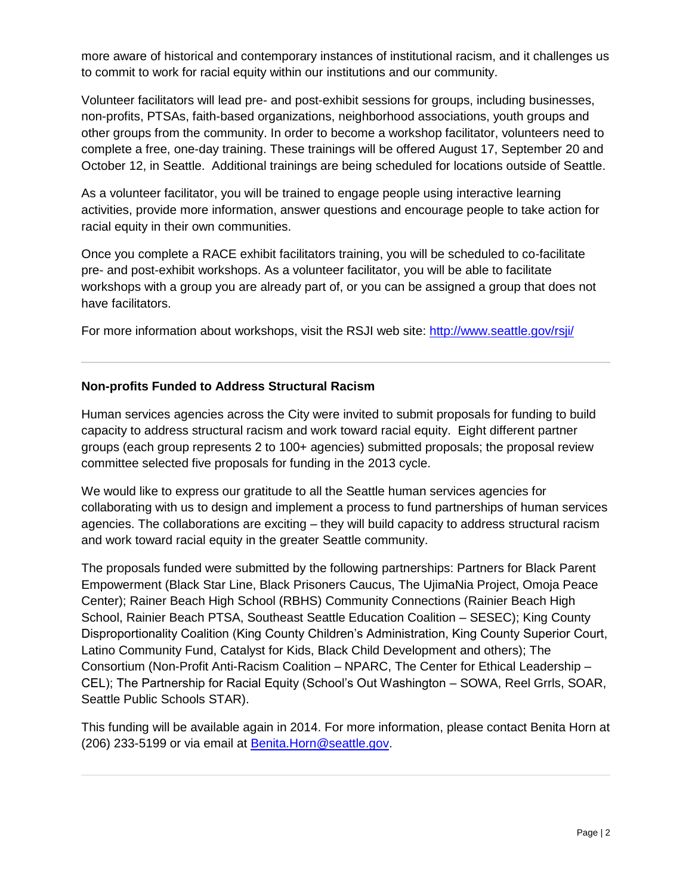more aware of historical and contemporary instances of institutional racism, and it challenges us to commit to work for racial equity within our institutions and our community.

Volunteer facilitators will lead pre- and post-exhibit sessions for groups, including businesses, non-profits, PTSAs, faith-based organizations, neighborhood associations, youth groups and other groups from the community. In order to become a workshop facilitator, volunteers need to complete a free, one-day training. These trainings will be offered August 17, September 20 and October 12, in Seattle. Additional trainings are being scheduled for locations outside of Seattle.

As a volunteer facilitator, you will be trained to engage people using interactive learning activities, provide more information, answer questions and encourage people to take action for racial equity in their own communities.

Once you complete a RACE exhibit facilitators training, you will be scheduled to co-facilitate pre- and post-exhibit workshops. As a volunteer facilitator, you will be able to facilitate workshops with a group you are already part of, or you can be assigned a group that does not have facilitators.

For more information about workshops, visit the RSJI web site:<http://www.seattle.gov/rsji/>

## **Non-profits Funded to Address Structural Racism**

Human services agencies across the City were invited to submit proposals for funding to build capacity to address structural racism and work toward racial equity. Eight different partner groups (each group represents 2 to 100+ agencies) submitted proposals; the proposal review committee selected five proposals for funding in the 2013 cycle.

We would like to express our gratitude to all the Seattle human services agencies for collaborating with us to design and implement a process to fund partnerships of human services agencies. The collaborations are exciting – they will build capacity to address structural racism and work toward racial equity in the greater Seattle community.

The proposals funded were submitted by the following partnerships: Partners for Black Parent Empowerment (Black Star Line, Black Prisoners Caucus, The UjimaNia Project, Omoja Peace Center); Rainer Beach High School (RBHS) Community Connections (Rainier Beach High School, Rainier Beach PTSA, Southeast Seattle Education Coalition – SESEC); King County Disproportionality Coalition (King County Children's Administration, King County Superior Court, Latino Community Fund, Catalyst for Kids, Black Child Development and others); The Consortium (Non-Profit Anti-Racism Coalition – NPARC, The Center for Ethical Leadership – CEL); The Partnership for Racial Equity (School's Out Washington – SOWA, Reel Grrls, SOAR, Seattle Public Schools STAR).

This funding will be available again in 2014. For more information, please contact Benita Horn at (206) 233-5199 or via email at [Benita.Horn@seattle.gov.](mailto:Benita.Horn@seattle.gov)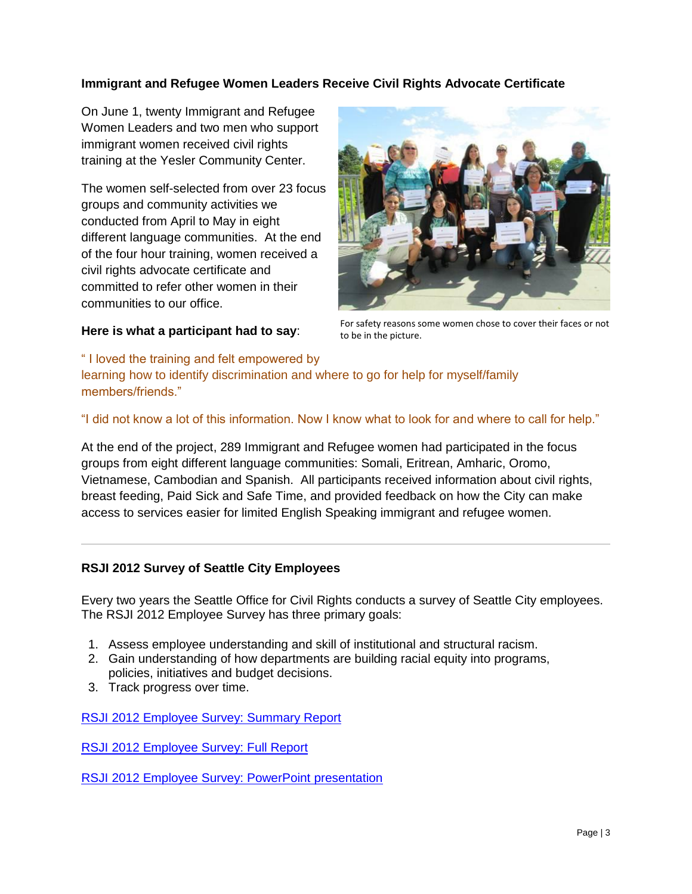# **Immigrant and Refugee Women Leaders Receive Civil Rights Advocate Certificate**

On June 1, twenty Immigrant and Refugee Women Leaders and two men who support immigrant women received civil rights training at the Yesler Community Center.

The women self-selected from over 23 focus groups and community activities we conducted from April to May in eight different language communities. At the end of the four hour training, women received a civil rights advocate certificate and committed to refer other women in their communities to our office.

### **Here is what a participant had to say**:



For safety reasons some women chose to cover their faces or not to be in the picture.

" I loved the training and felt empowered by learning how to identify discrimination and where to go for help for myself/family members/friends."

# "I did not know a lot of this information. Now I know what to look for and where to call for help."

At the end of the project, 289 Immigrant and Refugee women had participated in the focus groups from eight different language communities: Somali, Eritrean, Amharic, Oromo, Vietnamese, Cambodian and Spanish. All participants received information about civil rights, breast feeding, Paid Sick and Safe Time, and provided feedback on how the City can make access to services easier for limited English Speaking immigrant and refugee women.

### **RSJI 2012 Survey of Seattle City Employees**

Every two years the Seattle Office for Civil Rights conducts a survey of Seattle City employees. The RSJI 2012 Employee Survey has three primary goals:

- 1. Assess employee understanding and skill of institutional and structural racism.
- 2. Gain understanding of how departments are building racial equity into programs, policies, initiatives and budget decisions.
- 3. Track progress over time.

[RSJI 2012 Employee Survey: Summary Report](http://www.seattle.gov/rsji/docs/RSJIEmployeeSurvey_SummaryReport_Final.pdf)

[RSJI 2012 Employee Survey: Full Report](http://www.seattle.gov/rsji/docs/Report-2012Survey_FINAL.pdf)

[RSJI 2012 Employee Survey: PowerPoint presentation](http://www.seattle.gov/rsji/docs/RSJI2012Survey_PWRPT_FINAL.pdf)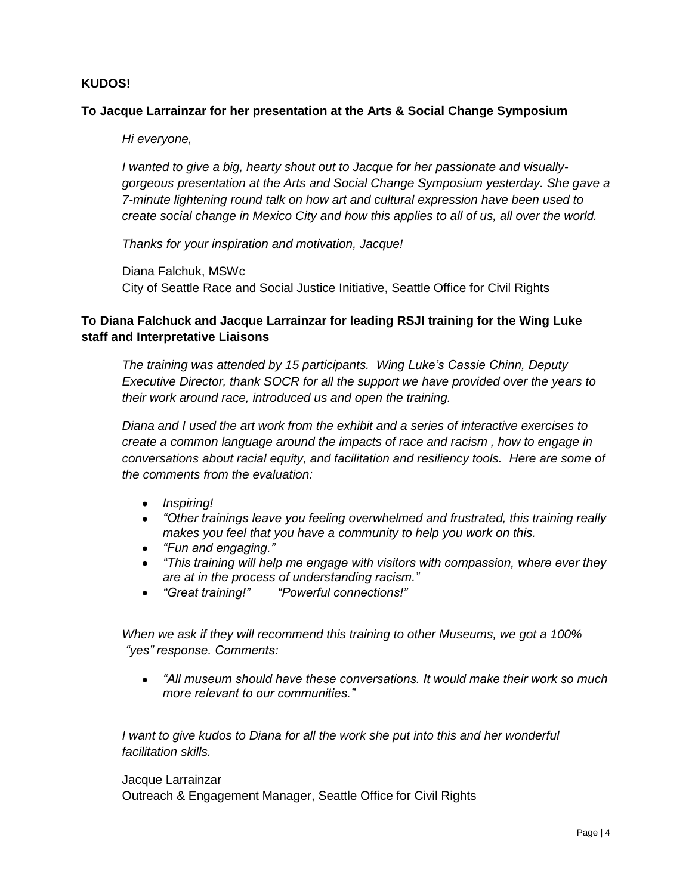#### **KUDOS!**

#### **To Jacque Larrainzar for her presentation at the Arts & Social Change Symposium**

*Hi everyone,*

*I wanted to give a big, hearty shout out to Jacque for her passionate and visuallygorgeous presentation at the Arts and Social Change Symposium yesterday. She gave a 7-minute lightening round talk on how art and cultural expression have been used to create social change in Mexico City and how this applies to all of us, all over the world.* 

*Thanks for your inspiration and motivation, Jacque!*

Diana Falchuk, MSWc City of Seattle Race and Social Justice Initiative, Seattle Office for Civil Rights

### **To Diana Falchuck and Jacque Larrainzar for leading RSJI training for the Wing Luke staff and Interpretative Liaisons**

*The training was attended by 15 participants. Wing Luke's Cassie Chinn, Deputy Executive Director, thank SOCR for all the support we have provided over the years to their work around race, introduced us and open the training.*

*Diana and I used the art work from the exhibit and a series of interactive exercises to create a common language around the impacts of race and racism , how to engage in conversations about racial equity, and facilitation and resiliency tools. Here are some of the comments from the evaluation:*

- *Inspiring!*
- *"Other trainings leave you feeling overwhelmed and frustrated, this training really makes you feel that you have a community to help you work on this.*
- *"Fun and engaging."*
- *"This training will help me engage with visitors with compassion, where ever they are at in the process of understanding racism."*
- *"Great training!" "Powerful connections!"*

*When we ask if they will recommend this training to other Museums, we got a 100% "yes" response. Comments:*

*"All museum should have these conversations. It would make their work so much more relevant to our communities."*

*I* want to give kudos to Diana for all the work she put into this and her wonderful *facilitation skills.* 

#### Jacque Larrainzar

Outreach & Engagement Manager, Seattle Office for Civil Rights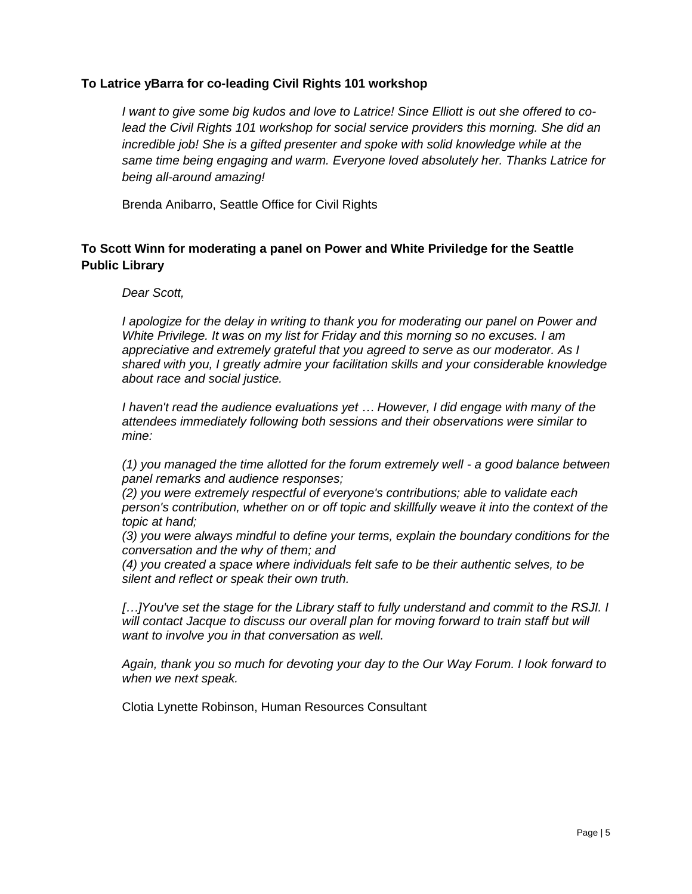#### **To Latrice yBarra for co-leading Civil Rights 101 workshop**

*I want to give some big kudos and love to Latrice! Since Elliott is out she offered to colead the Civil Rights 101 workshop for social service providers this morning. She did an incredible job! She is a gifted presenter and spoke with solid knowledge while at the same time being engaging and warm. Everyone loved absolutely her. Thanks Latrice for being all-around amazing!*

Brenda Anibarro, Seattle Office for Civil Rights

## **To Scott Winn for moderating a panel on Power and White Priviledge for the Seattle Public Library**

#### *Dear Scott,*

*I apologize for the delay in writing to thank you for moderating our panel on Power and White Privilege. It was on my list for Friday and this morning so no excuses. I am appreciative and extremely grateful that you agreed to serve as our moderator. As I shared with you, I greatly admire your facilitation skills and your considerable knowledge about race and social justice.* 

*I haven't read the audience evaluations yet … However, I did engage with many of the attendees immediately following both sessions and their observations were similar to mine:* 

*(1) you managed the time allotted for the forum extremely well - a good balance between panel remarks and audience responses;*

*(2) you were extremely respectful of everyone's contributions; able to validate each person's contribution, whether on or off topic and skillfully weave it into the context of the topic at hand;*

*(3) you were always mindful to define your terms, explain the boundary conditions for the conversation and the why of them; and*

*(4) you created a space where individuals felt safe to be their authentic selves, to be silent and reflect or speak their own truth.*

*[…]You've set the stage for the Library staff to fully understand and commit to the RSJI. I* will contact Jacque to discuss our overall plan for moving forward to train staff but will *want to involve you in that conversation as well.* 

*Again, thank you so much for devoting your day to the Our Way Forum. I look forward to when we next speak.*

Clotia Lynette Robinson, Human Resources Consultant